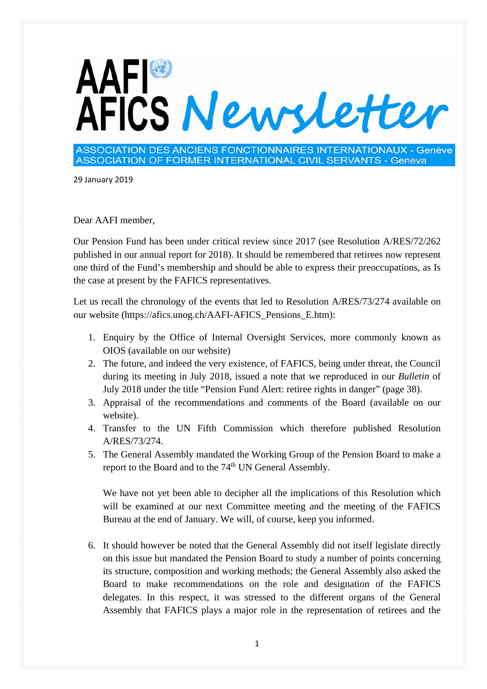## AAFI<sup>®</sup><br>AFICS Newsletter

ASSOCIATION DES ANCIENS FONCTIONNAIRES INTERNATIONAUX - Genève ASSOCIATION OF FORMER INTERNATIONAL CIVIL SERVANTS - Geneva

29 January 2019

Dear AAFI member,

Our Pension Fund has been under critical review since 2017 (see Resolution A/RES/72/262 published in our annual report for 2018). It should be remembered that retirees now represent one third of the Fund's membership and should be able to express their preoccupations, as Is the case at present by the FAFICS representatives.

Let us recall the chronology of the events that led to Resolution A/RES/73/274 available on our website (https://afics.unog.ch/AAFI-AFICS\_Pensions\_E.htm):

- 1. Enquiry by the Office of Internal Oversight Services, more commonly known as OIOS (available on our website)
- 2. The future, and indeed the very existence, of FAFICS, being under threat, the Council during its meeting in July 2018, issued a note that we reproduced in our *Bulletin* of July 2018 under the title "Pension Fund Alert: retiree rights in danger" (page 38).
- 3. Appraisal of the recommendations and comments of the Board (available on our website).
- 4. Transfer to the UN Fifth Commission which therefore published Resolution A/RES/73/274.
- 5. The General Assembly mandated the Working Group of the Pension Board to make a report to the Board and to the 74<sup>th</sup> UN General Assembly.

We have not yet been able to decipher all the implications of this Resolution which will be examined at our next Committee meeting and the meeting of the FAFICS Bureau at the end of January. We will, of course, keep you informed.

6. It should however be noted that the General Assembly did not itself legislate directly on this issue but mandated the Pension Board to study a number of points concerning its structure, composition and working methods; the General Assembly also asked the Board to make recommendations on the role and designation of the FAFICS delegates. In this respect, it was stressed to the different organs of the General Assembly that FAFICS plays a major role in the representation of retirees and the